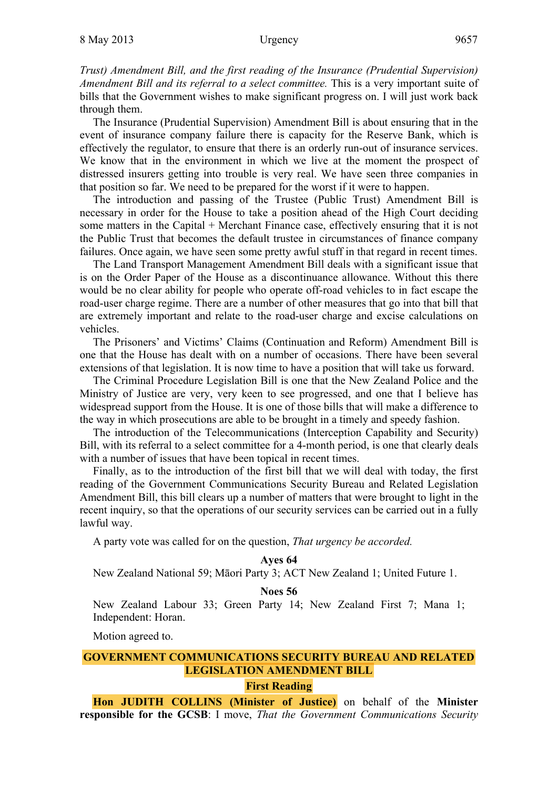*Trust) Amendment Bill, and the first reading of the Insurance (Prudential Supervision) Amendment Bill and its referral to a select committee.* This is a very important suite of bills that the Government wishes to make significant progress on. I will just work back through them.

The Insurance (Prudential Supervision) Amendment Bill is about ensuring that in the event of insurance company failure there is capacity for the Reserve Bank, which is effectively the regulator, to ensure that there is an orderly run-out of insurance services. We know that in the environment in which we live at the moment the prospect of distressed insurers getting into trouble is very real. We have seen three companies in that position so far. We need to be prepared for the worst if it were to happen.

The introduction and passing of the Trustee (Public Trust) Amendment Bill is necessary in order for the House to take a position ahead of the High Court deciding some matters in the Capital + Merchant Finance case, effectively ensuring that it is not the Public Trust that becomes the default trustee in circumstances of finance company failures. Once again, we have seen some pretty awful stuff in that regard in recent times.

The Land Transport Management Amendment Bill deals with a significant issue that is on the Order Paper of the House as a discontinuance allowance. Without this there would be no clear ability for people who operate off-road vehicles to in fact escape the road-user charge regime. There are a number of other measures that go into that bill that are extremely important and relate to the road-user charge and excise calculations on vehicles.

The Prisoners' and Victims' Claims (Continuation and Reform) Amendment Bill is one that the House has dealt with on a number of occasions. There have been several extensions of that legislation. It is now time to have a position that will take us forward.

The Criminal Procedure Legislation Bill is one that the New Zealand Police and the Ministry of Justice are very, very keen to see progressed, and one that I believe has widespread support from the House. It is one of those bills that will make a difference to the way in which prosecutions are able to be brought in a timely and speedy fashion.

The introduction of the Telecommunications (Interception Capability and Security) Bill, with its referral to a select committee for a 4-month period, is one that clearly deals with a number of issues that have been topical in recent times.

Finally, as to the introduction of the first bill that we will deal with today, the first reading of the Government Communications Security Bureau and Related Legislation Amendment Bill, this bill clears up a number of matters that were brought to light in the recent inquiry, so that the operations of our security services can be carried out in a fully lawful way.

A party vote was called for on the question, *That urgency be accorded.*

**Ayes 64** 

New Zealand National 59; Māori Party 3; ACT New Zealand 1; United Future 1.

### **Noes 56**

New Zealand Labour 33; Green Party 14; New Zealand First 7; Mana 1; Independent: Horan.

Motion agreed to.

# **GOVERNMENT COMMUNICATIONS SECURITY BUREAU AND RELATED LEGISLATION AMENDMENT BILL**

#### **First Reading**

**Hon JUDITH COLLINS (Minister of Justice)** on behalf of the **Minister responsible for the GCSB**: I move, *That the Government Communications Security*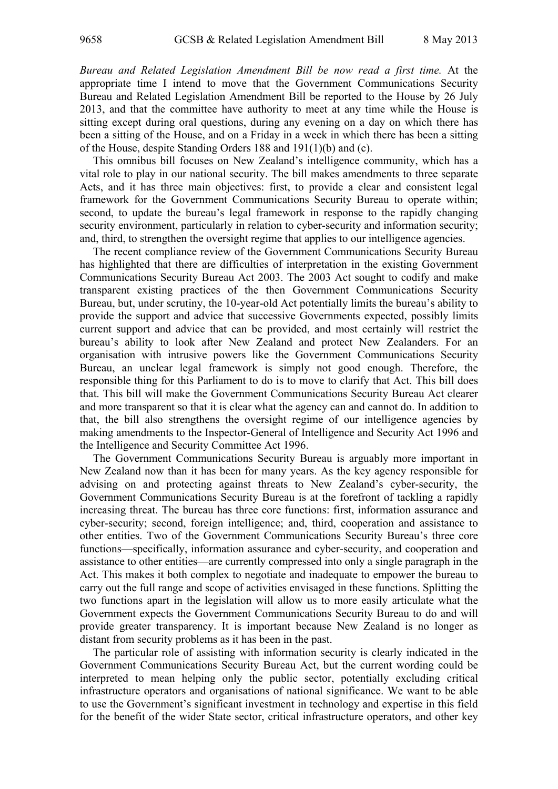*Bureau and Related Legislation Amendment Bill be now read a first time.* At the appropriate time I intend to move that the Government Communications Security Bureau and Related Legislation Amendment Bill be reported to the House by 26 July 2013, and that the committee have authority to meet at any time while the House is sitting except during oral questions, during any evening on a day on which there has been a sitting of the House, and on a Friday in a week in which there has been a sitting of the House, despite Standing Orders 188 and 191(1)(b) and (c).

This omnibus bill focuses on New Zealand's intelligence community, which has a vital role to play in our national security. The bill makes amendments to three separate Acts, and it has three main objectives: first, to provide a clear and consistent legal framework for the Government Communications Security Bureau to operate within; second, to update the bureau's legal framework in response to the rapidly changing security environment, particularly in relation to cyber-security and information security; and, third, to strengthen the oversight regime that applies to our intelligence agencies.

The recent compliance review of the Government Communications Security Bureau has highlighted that there are difficulties of interpretation in the existing Government Communications Security Bureau Act 2003. The 2003 Act sought to codify and make transparent existing practices of the then Government Communications Security Bureau, but, under scrutiny, the 10-year-old Act potentially limits the bureau's ability to provide the support and advice that successive Governments expected, possibly limits current support and advice that can be provided, and most certainly will restrict the bureau's ability to look after New Zealand and protect New Zealanders. For an organisation with intrusive powers like the Government Communications Security Bureau, an unclear legal framework is simply not good enough. Therefore, the responsible thing for this Parliament to do is to move to clarify that Act. This bill does that. This bill will make the Government Communications Security Bureau Act clearer and more transparent so that it is clear what the agency can and cannot do. In addition to that, the bill also strengthens the oversight regime of our intelligence agencies by making amendments to the Inspector-General of Intelligence and Security Act 1996 and the Intelligence and Security Committee Act 1996.

The Government Communications Security Bureau is arguably more important in New Zealand now than it has been for many years. As the key agency responsible for advising on and protecting against threats to New Zealand's cyber-security, the Government Communications Security Bureau is at the forefront of tackling a rapidly increasing threat. The bureau has three core functions: first, information assurance and cyber-security; second, foreign intelligence; and, third, cooperation and assistance to other entities. Two of the Government Communications Security Bureau's three core functions—specifically, information assurance and cyber-security, and cooperation and assistance to other entities—are currently compressed into only a single paragraph in the Act. This makes it both complex to negotiate and inadequate to empower the bureau to carry out the full range and scope of activities envisaged in these functions. Splitting the two functions apart in the legislation will allow us to more easily articulate what the Government expects the Government Communications Security Bureau to do and will provide greater transparency. It is important because New Zealand is no longer as distant from security problems as it has been in the past.

The particular role of assisting with information security is clearly indicated in the Government Communications Security Bureau Act, but the current wording could be interpreted to mean helping only the public sector, potentially excluding critical infrastructure operators and organisations of national significance. We want to be able to use the Government's significant investment in technology and expertise in this field for the benefit of the wider State sector, critical infrastructure operators, and other key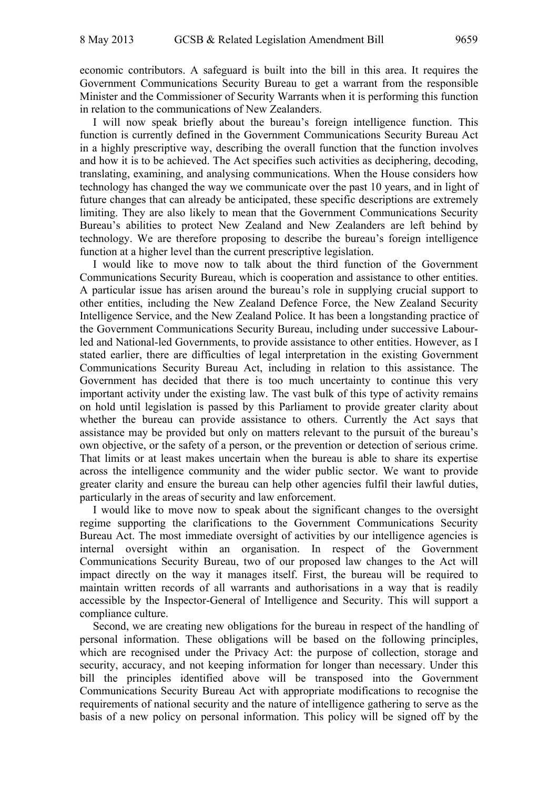economic contributors. A safeguard is built into the bill in this area. It requires the Government Communications Security Bureau to get a warrant from the responsible Minister and the Commissioner of Security Warrants when it is performing this function in relation to the communications of New Zealanders.

I will now speak briefly about the bureau's foreign intelligence function. This function is currently defined in the Government Communications Security Bureau Act in a highly prescriptive way, describing the overall function that the function involves and how it is to be achieved. The Act specifies such activities as deciphering, decoding, translating, examining, and analysing communications. When the House considers how technology has changed the way we communicate over the past 10 years, and in light of future changes that can already be anticipated, these specific descriptions are extremely limiting. They are also likely to mean that the Government Communications Security Bureau's abilities to protect New Zealand and New Zealanders are left behind by technology. We are therefore proposing to describe the bureau's foreign intelligence function at a higher level than the current prescriptive legislation.

I would like to move now to talk about the third function of the Government Communications Security Bureau, which is cooperation and assistance to other entities. A particular issue has arisen around the bureau's role in supplying crucial support to other entities, including the New Zealand Defence Force, the New Zealand Security Intelligence Service, and the New Zealand Police. It has been a longstanding practice of the Government Communications Security Bureau, including under successive Labourled and National-led Governments, to provide assistance to other entities. However, as I stated earlier, there are difficulties of legal interpretation in the existing Government Communications Security Bureau Act, including in relation to this assistance. The Government has decided that there is too much uncertainty to continue this very important activity under the existing law. The vast bulk of this type of activity remains on hold until legislation is passed by this Parliament to provide greater clarity about whether the bureau can provide assistance to others. Currently the Act says that assistance may be provided but only on matters relevant to the pursuit of the bureau's own objective, or the safety of a person, or the prevention or detection of serious crime. That limits or at least makes uncertain when the bureau is able to share its expertise across the intelligence community and the wider public sector. We want to provide greater clarity and ensure the bureau can help other agencies fulfil their lawful duties, particularly in the areas of security and law enforcement.

I would like to move now to speak about the significant changes to the oversight regime supporting the clarifications to the Government Communications Security Bureau Act. The most immediate oversight of activities by our intelligence agencies is internal oversight within an organisation. In respect of the Government Communications Security Bureau, two of our proposed law changes to the Act will impact directly on the way it manages itself. First, the bureau will be required to maintain written records of all warrants and authorisations in a way that is readily accessible by the Inspector-General of Intelligence and Security. This will support a compliance culture.

Second, we are creating new obligations for the bureau in respect of the handling of personal information. These obligations will be based on the following principles, which are recognised under the Privacy Act: the purpose of collection, storage and security, accuracy, and not keeping information for longer than necessary. Under this bill the principles identified above will be transposed into the Government Communications Security Bureau Act with appropriate modifications to recognise the requirements of national security and the nature of intelligence gathering to serve as the basis of a new policy on personal information. This policy will be signed off by the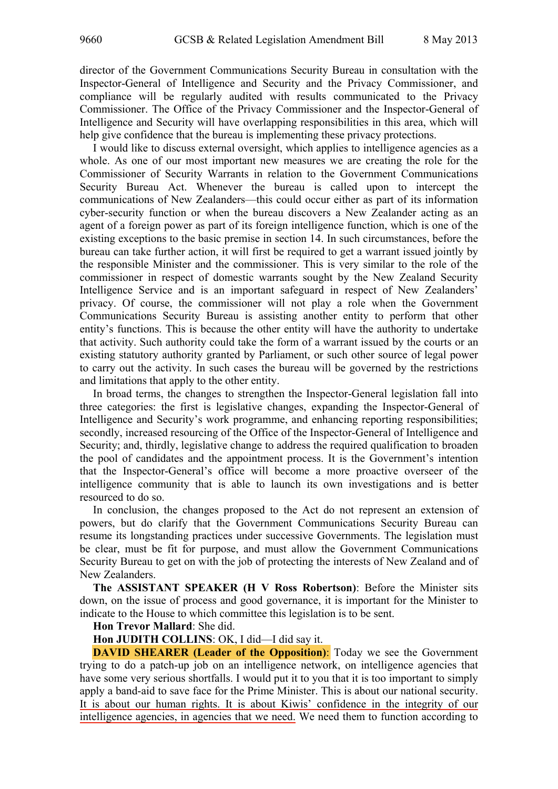director of the Government Communications Security Bureau in consultation with the Inspector-General of Intelligence and Security and the Privacy Commissioner, and compliance will be regularly audited with results communicated to the Privacy Commissioner. The Office of the Privacy Commissioner and the Inspector-General of Intelligence and Security will have overlapping responsibilities in this area, which will help give confidence that the bureau is implementing these privacy protections.

I would like to discuss external oversight, which applies to intelligence agencies as a whole. As one of our most important new measures we are creating the role for the Commissioner of Security Warrants in relation to the Government Communications Security Bureau Act. Whenever the bureau is called upon to intercept the communications of New Zealanders—this could occur either as part of its information cyber-security function or when the bureau discovers a New Zealander acting as an agent of a foreign power as part of its foreign intelligence function, which is one of the existing exceptions to the basic premise in section 14. In such circumstances, before the bureau can take further action, it will first be required to get a warrant issued jointly by the responsible Minister and the commissioner. This is very similar to the role of the commissioner in respect of domestic warrants sought by the New Zealand Security Intelligence Service and is an important safeguard in respect of New Zealanders' privacy. Of course, the commissioner will not play a role when the Government Communications Security Bureau is assisting another entity to perform that other entity's functions. This is because the other entity will have the authority to undertake that activity. Such authority could take the form of a warrant issued by the courts or an existing statutory authority granted by Parliament, or such other source of legal power to carry out the activity. In such cases the bureau will be governed by the restrictions and limitations that apply to the other entity.

In broad terms, the changes to strengthen the Inspector-General legislation fall into three categories: the first is legislative changes, expanding the Inspector-General of Intelligence and Security's work programme, and enhancing reporting responsibilities; secondly, increased resourcing of the Office of the Inspector-General of Intelligence and Security; and, thirdly, legislative change to address the required qualification to broaden the pool of candidates and the appointment process. It is the Government's intention that the Inspector-General's office will become a more proactive overseer of the intelligence community that is able to launch its own investigations and is better resourced to do so.

In conclusion, the changes proposed to the Act do not represent an extension of powers, but do clarify that the Government Communications Security Bureau can resume its longstanding practices under successive Governments. The legislation must be clear, must be fit for purpose, and must allow the Government Communications Security Bureau to get on with the job of protecting the interests of New Zealand and of New Zealanders.

**The ASSISTANT SPEAKER (H V Ross Robertson)**: Before the Minister sits down, on the issue of process and good governance, it is important for the Minister to indicate to the House to which committee this legislation is to be sent.

### **Hon Trevor Mallard**: She did.

**Hon JUDITH COLLINS**: OK, I did—I did say it.

**DAVID SHEARER (Leader of the Opposition):** Today we see the Government trying to do a patch-up job on an intelligence network, on intelligence agencies that have some very serious shortfalls. I would put it to you that it is too important to simply apply a band-aid to save face for the Prime Minister. This is about our national security. It is about our human rights. It is about Kiwis' confidence in the integrity of our intelligence agencies, in agencies that we need. We need them to function according to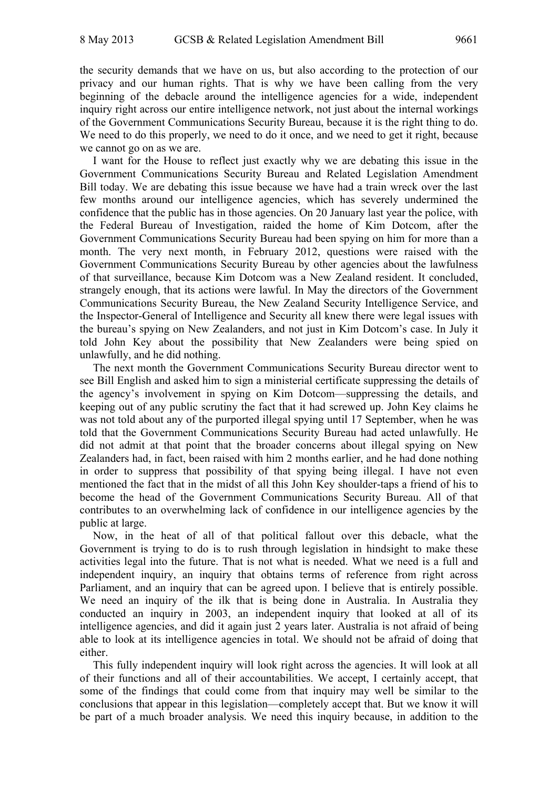the security demands that we have on us, but also according to the protection of our privacy and our human rights. That is why we have been calling from the very beginning of the debacle around the intelligence agencies for a wide, independent inquiry right across our entire intelligence network, not just about the internal workings of the Government Communications Security Bureau, because it is the right thing to do. We need to do this properly, we need to do it once, and we need to get it right, because we cannot go on as we are.

I want for the House to reflect just exactly why we are debating this issue in the Government Communications Security Bureau and Related Legislation Amendment Bill today. We are debating this issue because we have had a train wreck over the last few months around our intelligence agencies, which has severely undermined the confidence that the public has in those agencies. On 20 January last year the police, with the Federal Bureau of Investigation, raided the home of Kim Dotcom, after the Government Communications Security Bureau had been spying on him for more than a month. The very next month, in February 2012, questions were raised with the Government Communications Security Bureau by other agencies about the lawfulness of that surveillance, because Kim Dotcom was a New Zealand resident. It concluded, strangely enough, that its actions were lawful. In May the directors of the Government Communications Security Bureau, the New Zealand Security Intelligence Service, and the Inspector-General of Intelligence and Security all knew there were legal issues with the bureau's spying on New Zealanders, and not just in Kim Dotcom's case. In July it told John Key about the possibility that New Zealanders were being spied on unlawfully, and he did nothing.

The next month the Government Communications Security Bureau director went to see Bill English and asked him to sign a ministerial certificate suppressing the details of the agency's involvement in spying on Kim Dotcom—suppressing the details, and keeping out of any public scrutiny the fact that it had screwed up. John Key claims he was not told about any of the purported illegal spying until 17 September, when he was told that the Government Communications Security Bureau had acted unlawfully. He did not admit at that point that the broader concerns about illegal spying on New Zealanders had, in fact, been raised with him 2 months earlier, and he had done nothing in order to suppress that possibility of that spying being illegal. I have not even mentioned the fact that in the midst of all this John Key shoulder-taps a friend of his to become the head of the Government Communications Security Bureau. All of that contributes to an overwhelming lack of confidence in our intelligence agencies by the public at large.

Now, in the heat of all of that political fallout over this debacle, what the Government is trying to do is to rush through legislation in hindsight to make these activities legal into the future. That is not what is needed. What we need is a full and independent inquiry, an inquiry that obtains terms of reference from right across Parliament, and an inquiry that can be agreed upon. I believe that is entirely possible. We need an inquiry of the ilk that is being done in Australia. In Australia they conducted an inquiry in 2003, an independent inquiry that looked at all of its intelligence agencies, and did it again just 2 years later. Australia is not afraid of being able to look at its intelligence agencies in total. We should not be afraid of doing that either.

This fully independent inquiry will look right across the agencies. It will look at all of their functions and all of their accountabilities. We accept, I certainly accept, that some of the findings that could come from that inquiry may well be similar to the conclusions that appear in this legislation—completely accept that. But we know it will be part of a much broader analysis. We need this inquiry because, in addition to the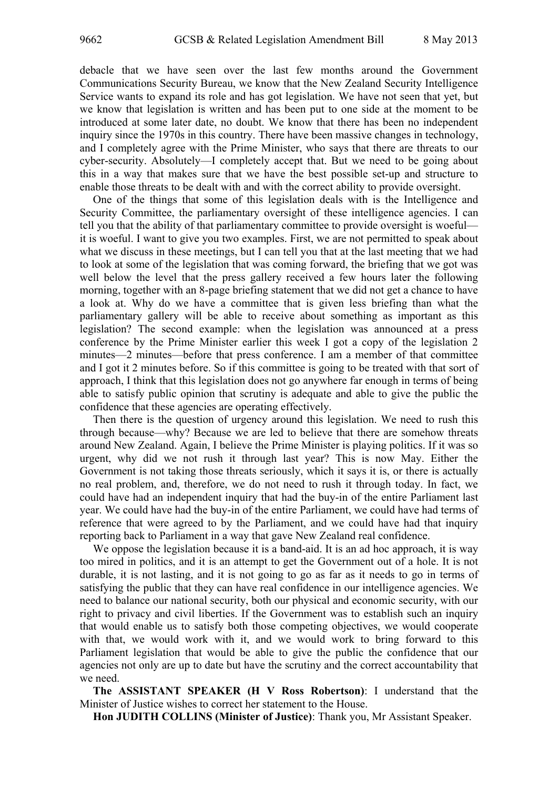debacle that we have seen over the last few months around the Government Communications Security Bureau, we know that the New Zealand Security Intelligence Service wants to expand its role and has got legislation. We have not seen that yet, but we know that legislation is written and has been put to one side at the moment to be introduced at some later date, no doubt. We know that there has been no independent inquiry since the 1970s in this country. There have been massive changes in technology, and I completely agree with the Prime Minister, who says that there are threats to our cyber-security. Absolutely—I completely accept that. But we need to be going about this in a way that makes sure that we have the best possible set-up and structure to enable those threats to be dealt with and with the correct ability to provide oversight.

One of the things that some of this legislation deals with is the Intelligence and Security Committee, the parliamentary oversight of these intelligence agencies. I can tell you that the ability of that parliamentary committee to provide oversight is woeful it is woeful. I want to give you two examples. First, we are not permitted to speak about what we discuss in these meetings, but I can tell you that at the last meeting that we had to look at some of the legislation that was coming forward, the briefing that we got was well below the level that the press gallery received a few hours later the following morning, together with an 8-page briefing statement that we did not get a chance to have a look at. Why do we have a committee that is given less briefing than what the parliamentary gallery will be able to receive about something as important as this legislation? The second example: when the legislation was announced at a press conference by the Prime Minister earlier this week I got a copy of the legislation 2 minutes—2 minutes—before that press conference. I am a member of that committee and I got it 2 minutes before. So if this committee is going to be treated with that sort of approach, I think that this legislation does not go anywhere far enough in terms of being able to satisfy public opinion that scrutiny is adequate and able to give the public the confidence that these agencies are operating effectively.

Then there is the question of urgency around this legislation. We need to rush this through because—why? Because we are led to believe that there are somehow threats around New Zealand. Again, I believe the Prime Minister is playing politics. If it was so urgent, why did we not rush it through last year? This is now May. Either the Government is not taking those threats seriously, which it says it is, or there is actually no real problem, and, therefore, we do not need to rush it through today. In fact, we could have had an independent inquiry that had the buy-in of the entire Parliament last year. We could have had the buy-in of the entire Parliament, we could have had terms of reference that were agreed to by the Parliament, and we could have had that inquiry reporting back to Parliament in a way that gave New Zealand real confidence.

We oppose the legislation because it is a band-aid. It is an ad hoc approach, it is way too mired in politics, and it is an attempt to get the Government out of a hole. It is not durable, it is not lasting, and it is not going to go as far as it needs to go in terms of satisfying the public that they can have real confidence in our intelligence agencies. We need to balance our national security, both our physical and economic security, with our right to privacy and civil liberties. If the Government was to establish such an inquiry that would enable us to satisfy both those competing objectives, we would cooperate with that, we would work with it, and we would work to bring forward to this Parliament legislation that would be able to give the public the confidence that our agencies not only are up to date but have the scrutiny and the correct accountability that we need.

**The ASSISTANT SPEAKER (H V Ross Robertson)**: I understand that the Minister of Justice wishes to correct her statement to the House.

**Hon JUDITH COLLINS (Minister of Justice)**: Thank you, Mr Assistant Speaker.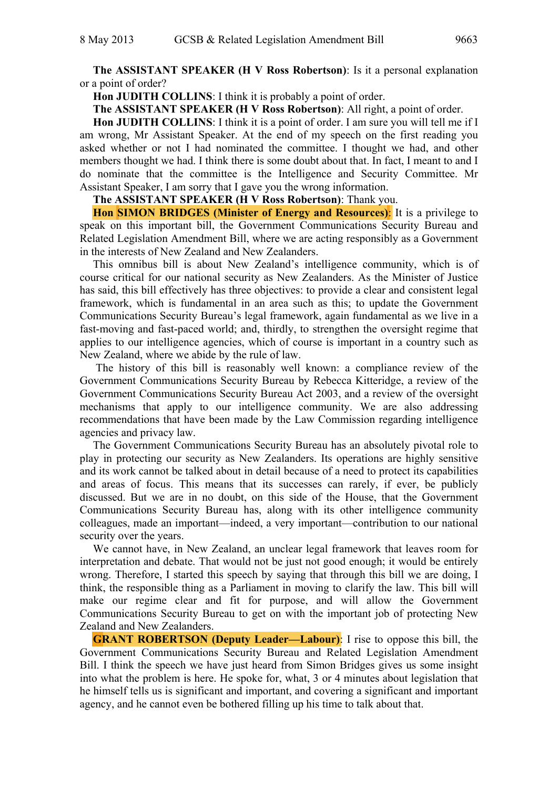**The ASSISTANT SPEAKER (H V Ross Robertson)**: Is it a personal explanation or a point of order?

**Hon JUDITH COLLINS**: I think it is probably a point of order.

**The ASSISTANT SPEAKER (H V Ross Robertson)**: All right, a point of order.

**Hon JUDITH COLLINS**: I think it is a point of order. I am sure you will tell me if I am wrong, Mr Assistant Speaker. At the end of my speech on the first reading you asked whether or not I had nominated the committee. I thought we had, and other members thought we had. I think there is some doubt about that. In fact, I meant to and I do nominate that the committee is the Intelligence and Security Committee. Mr Assistant Speaker, I am sorry that I gave you the wrong information.

**The ASSISTANT SPEAKER (H V Ross Robertson)**: Thank you.

**Hon SIMON BRIDGES (Minister of Energy and Resources)**: It is a privilege to speak on this important bill, the Government Communications Security Bureau and Related Legislation Amendment Bill, where we are acting responsibly as a Government in the interests of New Zealand and New Zealanders.

This omnibus bill is about New Zealand's intelligence community, which is of course critical for our national security as New Zealanders. As the Minister of Justice has said, this bill effectively has three objectives: to provide a clear and consistent legal framework, which is fundamental in an area such as this; to update the Government Communications Security Bureau's legal framework, again fundamental as we live in a fast-moving and fast-paced world; and, thirdly, to strengthen the oversight regime that applies to our intelligence agencies, which of course is important in a country such as New Zealand, where we abide by the rule of law.

 The history of this bill is reasonably well known: a compliance review of the Government Communications Security Bureau by Rebecca Kitteridge, a review of the Government Communications Security Bureau Act 2003, and a review of the oversight mechanisms that apply to our intelligence community. We are also addressing recommendations that have been made by the Law Commission regarding intelligence agencies and privacy law.

The Government Communications Security Bureau has an absolutely pivotal role to play in protecting our security as New Zealanders. Its operations are highly sensitive and its work cannot be talked about in detail because of a need to protect its capabilities and areas of focus. This means that its successes can rarely, if ever, be publicly discussed. But we are in no doubt, on this side of the House, that the Government Communications Security Bureau has, along with its other intelligence community colleagues, made an important—indeed, a very important—contribution to our national security over the years.

We cannot have, in New Zealand, an unclear legal framework that leaves room for interpretation and debate. That would not be just not good enough; it would be entirely wrong. Therefore, I started this speech by saying that through this bill we are doing, I think, the responsible thing as a Parliament in moving to clarify the law. This bill will make our regime clear and fit for purpose, and will allow the Government Communications Security Bureau to get on with the important job of protecting New Zealand and New Zealanders.

**GRANT ROBERTSON (Deputy Leader—Labour)**: I rise to oppose this bill, the Government Communications Security Bureau and Related Legislation Amendment Bill. I think the speech we have just heard from Simon Bridges gives us some insight into what the problem is here. He spoke for, what, 3 or 4 minutes about legislation that he himself tells us is significant and important, and covering a significant and important agency, and he cannot even be bothered filling up his time to talk about that.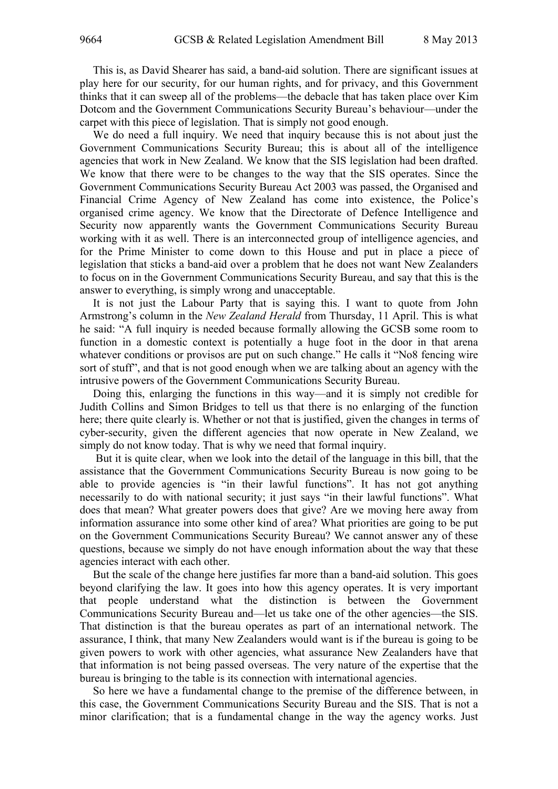This is, as David Shearer has said, a band-aid solution. There are significant issues at play here for our security, for our human rights, and for privacy, and this Government thinks that it can sweep all of the problems—the debacle that has taken place over Kim Dotcom and the Government Communications Security Bureau's behaviour—under the carpet with this piece of legislation. That is simply not good enough.

We do need a full inquiry. We need that inquiry because this is not about just the Government Communications Security Bureau; this is about all of the intelligence agencies that work in New Zealand. We know that the SIS legislation had been drafted. We know that there were to be changes to the way that the SIS operates. Since the Government Communications Security Bureau Act 2003 was passed, the Organised and Financial Crime Agency of New Zealand has come into existence, the Police's organised crime agency. We know that the Directorate of Defence Intelligence and Security now apparently wants the Government Communications Security Bureau working with it as well. There is an interconnected group of intelligence agencies, and for the Prime Minister to come down to this House and put in place a piece of legislation that sticks a band-aid over a problem that he does not want New Zealanders to focus on in the Government Communications Security Bureau, and say that this is the answer to everything, is simply wrong and unacceptable.

It is not just the Labour Party that is saying this. I want to quote from John Armstrong's column in the *New Zealand Herald* from Thursday, 11 April. This is what he said: "A full inquiry is needed because formally allowing the GCSB some room to function in a domestic context is potentially a huge foot in the door in that arena whatever conditions or provisos are put on such change." He calls it "No8 fencing wire sort of stuff", and that is not good enough when we are talking about an agency with the intrusive powers of the Government Communications Security Bureau.

Doing this, enlarging the functions in this way—and it is simply not credible for Judith Collins and Simon Bridges to tell us that there is no enlarging of the function here; there quite clearly is. Whether or not that is justified, given the changes in terms of cyber-security, given the different agencies that now operate in New Zealand, we simply do not know today. That is why we need that formal inquiry.

 But it is quite clear, when we look into the detail of the language in this bill, that the assistance that the Government Communications Security Bureau is now going to be able to provide agencies is "in their lawful functions". It has not got anything necessarily to do with national security; it just says "in their lawful functions". What does that mean? What greater powers does that give? Are we moving here away from information assurance into some other kind of area? What priorities are going to be put on the Government Communications Security Bureau? We cannot answer any of these questions, because we simply do not have enough information about the way that these agencies interact with each other.

But the scale of the change here justifies far more than a band-aid solution. This goes beyond clarifying the law. It goes into how this agency operates. It is very important that people understand what the distinction is between the Government Communications Security Bureau and—let us take one of the other agencies—the SIS. That distinction is that the bureau operates as part of an international network. The assurance, I think, that many New Zealanders would want is if the bureau is going to be given powers to work with other agencies, what assurance New Zealanders have that that information is not being passed overseas. The very nature of the expertise that the bureau is bringing to the table is its connection with international agencies.

So here we have a fundamental change to the premise of the difference between, in this case, the Government Communications Security Bureau and the SIS. That is not a minor clarification; that is a fundamental change in the way the agency works. Just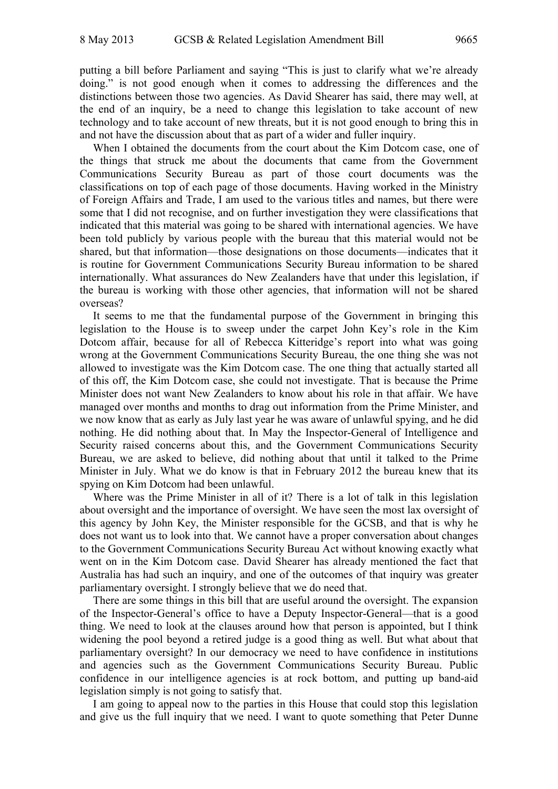putting a bill before Parliament and saying "This is just to clarify what we're already doing." is not good enough when it comes to addressing the differences and the distinctions between those two agencies. As David Shearer has said, there may well, at the end of an inquiry, be a need to change this legislation to take account of new technology and to take account of new threats, but it is not good enough to bring this in and not have the discussion about that as part of a wider and fuller inquiry.

When I obtained the documents from the court about the Kim Dotcom case, one of the things that struck me about the documents that came from the Government Communications Security Bureau as part of those court documents was the classifications on top of each page of those documents. Having worked in the Ministry of Foreign Affairs and Trade, I am used to the various titles and names, but there were some that I did not recognise, and on further investigation they were classifications that indicated that this material was going to be shared with international agencies. We have been told publicly by various people with the bureau that this material would not be shared, but that information—those designations on those documents—indicates that it is routine for Government Communications Security Bureau information to be shared internationally. What assurances do New Zealanders have that under this legislation, if the bureau is working with those other agencies, that information will not be shared overseas?

It seems to me that the fundamental purpose of the Government in bringing this legislation to the House is to sweep under the carpet John Key's role in the Kim Dotcom affair, because for all of Rebecca Kitteridge's report into what was going wrong at the Government Communications Security Bureau, the one thing she was not allowed to investigate was the Kim Dotcom case. The one thing that actually started all of this off, the Kim Dotcom case, she could not investigate. That is because the Prime Minister does not want New Zealanders to know about his role in that affair. We have managed over months and months to drag out information from the Prime Minister, and we now know that as early as July last year he was aware of unlawful spying, and he did nothing. He did nothing about that. In May the Inspector-General of Intelligence and Security raised concerns about this, and the Government Communications Security Bureau, we are asked to believe, did nothing about that until it talked to the Prime Minister in July. What we do know is that in February 2012 the bureau knew that its spying on Kim Dotcom had been unlawful.

Where was the Prime Minister in all of it? There is a lot of talk in this legislation about oversight and the importance of oversight. We have seen the most lax oversight of this agency by John Key, the Minister responsible for the GCSB, and that is why he does not want us to look into that. We cannot have a proper conversation about changes to the Government Communications Security Bureau Act without knowing exactly what went on in the Kim Dotcom case. David Shearer has already mentioned the fact that Australia has had such an inquiry, and one of the outcomes of that inquiry was greater parliamentary oversight. I strongly believe that we do need that.

There are some things in this bill that are useful around the oversight. The expansion of the Inspector-General's office to have a Deputy Inspector-General—that is a good thing. We need to look at the clauses around how that person is appointed, but I think widening the pool beyond a retired judge is a good thing as well. But what about that parliamentary oversight? In our democracy we need to have confidence in institutions and agencies such as the Government Communications Security Bureau. Public confidence in our intelligence agencies is at rock bottom, and putting up band-aid legislation simply is not going to satisfy that.

I am going to appeal now to the parties in this House that could stop this legislation and give us the full inquiry that we need. I want to quote something that Peter Dunne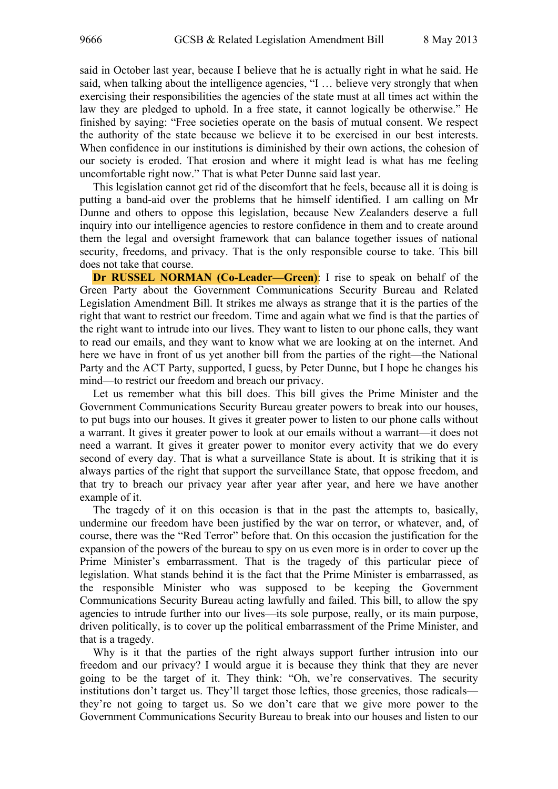said in October last year, because I believe that he is actually right in what he said. He said, when talking about the intelligence agencies, "I … believe very strongly that when exercising their responsibilities the agencies of the state must at all times act within the law they are pledged to uphold. In a free state, it cannot logically be otherwise." He finished by saying: "Free societies operate on the basis of mutual consent. We respect the authority of the state because we believe it to be exercised in our best interests. When confidence in our institutions is diminished by their own actions, the cohesion of our society is eroded. That erosion and where it might lead is what has me feeling uncomfortable right now." That is what Peter Dunne said last year.

This legislation cannot get rid of the discomfort that he feels, because all it is doing is putting a band-aid over the problems that he himself identified. I am calling on Mr Dunne and others to oppose this legislation, because New Zealanders deserve a full inquiry into our intelligence agencies to restore confidence in them and to create around them the legal and oversight framework that can balance together issues of national security, freedoms, and privacy. That is the only responsible course to take. This bill does not take that course.

**Dr RUSSEL NORMAN (Co-Leader—Green):** I rise to speak on behalf of the Green Party about the Government Communications Security Bureau and Related Legislation Amendment Bill. It strikes me always as strange that it is the parties of the right that want to restrict our freedom. Time and again what we find is that the parties of the right want to intrude into our lives. They want to listen to our phone calls, they want to read our emails, and they want to know what we are looking at on the internet. And here we have in front of us yet another bill from the parties of the right—the National Party and the ACT Party, supported, I guess, by Peter Dunne, but I hope he changes his mind—to restrict our freedom and breach our privacy.

Let us remember what this bill does. This bill gives the Prime Minister and the Government Communications Security Bureau greater powers to break into our houses, to put bugs into our houses. It gives it greater power to listen to our phone calls without a warrant. It gives it greater power to look at our emails without a warrant—it does not need a warrant. It gives it greater power to monitor every activity that we do every second of every day. That is what a surveillance State is about. It is striking that it is always parties of the right that support the surveillance State, that oppose freedom, and that try to breach our privacy year after year after year, and here we have another example of it.

The tragedy of it on this occasion is that in the past the attempts to, basically, undermine our freedom have been justified by the war on terror, or whatever, and, of course, there was the "Red Terror" before that. On this occasion the justification for the expansion of the powers of the bureau to spy on us even more is in order to cover up the Prime Minister's embarrassment. That is the tragedy of this particular piece of legislation. What stands behind it is the fact that the Prime Minister is embarrassed, as the responsible Minister who was supposed to be keeping the Government Communications Security Bureau acting lawfully and failed. This bill, to allow the spy agencies to intrude further into our lives—its sole purpose, really, or its main purpose, driven politically, is to cover up the political embarrassment of the Prime Minister, and that is a tragedy.

Why is it that the parties of the right always support further intrusion into our freedom and our privacy? I would argue it is because they think that they are never going to be the target of it. They think: "Oh, we're conservatives. The security institutions don't target us. They'll target those lefties, those greenies, those radicals they're not going to target us. So we don't care that we give more power to the Government Communications Security Bureau to break into our houses and listen to our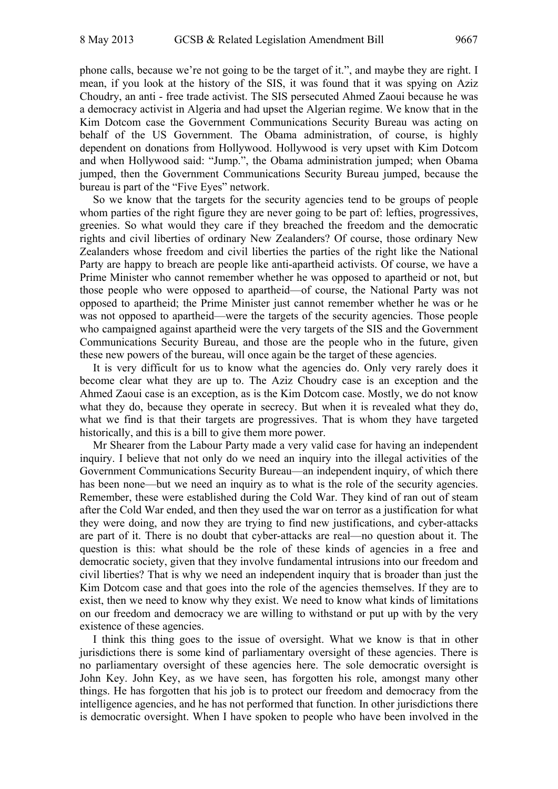phone calls, because we're not going to be the target of it.", and maybe they are right. I mean, if you look at the history of the SIS, it was found that it was spying on Aziz Choudry, an anti - free trade activist. The SIS persecuted Ahmed Zaoui because he was a democracy activist in Algeria and had upset the Algerian regime. We know that in the Kim Dotcom case the Government Communications Security Bureau was acting on behalf of the US Government. The Obama administration, of course, is highly dependent on donations from Hollywood. Hollywood is very upset with Kim Dotcom and when Hollywood said: "Jump.", the Obama administration jumped; when Obama jumped, then the Government Communications Security Bureau jumped, because the bureau is part of the "Five Eyes" network.

So we know that the targets for the security agencies tend to be groups of people whom parties of the right figure they are never going to be part of: lefties, progressives, greenies. So what would they care if they breached the freedom and the democratic rights and civil liberties of ordinary New Zealanders? Of course, those ordinary New Zealanders whose freedom and civil liberties the parties of the right like the National Party are happy to breach are people like anti-apartheid activists. Of course, we have a Prime Minister who cannot remember whether he was opposed to apartheid or not, but those people who were opposed to apartheid—of course, the National Party was not opposed to apartheid; the Prime Minister just cannot remember whether he was or he was not opposed to apartheid—were the targets of the security agencies. Those people who campaigned against apartheid were the very targets of the SIS and the Government Communications Security Bureau, and those are the people who in the future, given these new powers of the bureau, will once again be the target of these agencies.

It is very difficult for us to know what the agencies do. Only very rarely does it become clear what they are up to. The Aziz Choudry case is an exception and the Ahmed Zaoui case is an exception, as is the Kim Dotcom case. Mostly, we do not know what they do, because they operate in secrecy. But when it is revealed what they do, what we find is that their targets are progressives. That is whom they have targeted historically, and this is a bill to give them more power.

Mr Shearer from the Labour Party made a very valid case for having an independent inquiry. I believe that not only do we need an inquiry into the illegal activities of the Government Communications Security Bureau—an independent inquiry, of which there has been none—but we need an inquiry as to what is the role of the security agencies. Remember, these were established during the Cold War. They kind of ran out of steam after the Cold War ended, and then they used the war on terror as a justification for what they were doing, and now they are trying to find new justifications, and cyber-attacks are part of it. There is no doubt that cyber-attacks are real—no question about it. The question is this: what should be the role of these kinds of agencies in a free and democratic society, given that they involve fundamental intrusions into our freedom and civil liberties? That is why we need an independent inquiry that is broader than just the Kim Dotcom case and that goes into the role of the agencies themselves. If they are to exist, then we need to know why they exist. We need to know what kinds of limitations on our freedom and democracy we are willing to withstand or put up with by the very existence of these agencies.

I think this thing goes to the issue of oversight. What we know is that in other jurisdictions there is some kind of parliamentary oversight of these agencies. There is no parliamentary oversight of these agencies here. The sole democratic oversight is John Key. John Key, as we have seen, has forgotten his role, amongst many other things. He has forgotten that his job is to protect our freedom and democracy from the intelligence agencies, and he has not performed that function. In other jurisdictions there is democratic oversight. When I have spoken to people who have been involved in the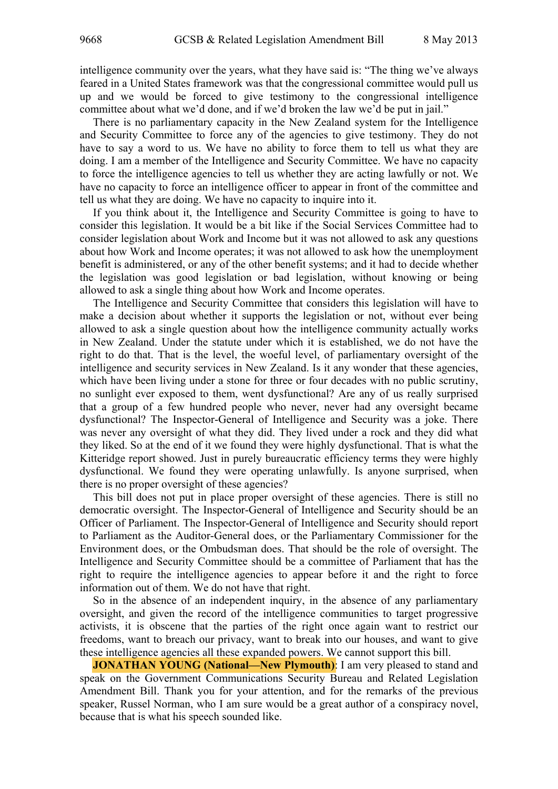intelligence community over the years, what they have said is: "The thing we've always feared in a United States framework was that the congressional committee would pull us up and we would be forced to give testimony to the congressional intelligence committee about what we'd done, and if we'd broken the law we'd be put in jail."

There is no parliamentary capacity in the New Zealand system for the Intelligence and Security Committee to force any of the agencies to give testimony. They do not have to say a word to us. We have no ability to force them to tell us what they are doing. I am a member of the Intelligence and Security Committee. We have no capacity to force the intelligence agencies to tell us whether they are acting lawfully or not. We have no capacity to force an intelligence officer to appear in front of the committee and tell us what they are doing. We have no capacity to inquire into it.

If you think about it, the Intelligence and Security Committee is going to have to consider this legislation. It would be a bit like if the Social Services Committee had to consider legislation about Work and Income but it was not allowed to ask any questions about how Work and Income operates; it was not allowed to ask how the unemployment benefit is administered, or any of the other benefit systems; and it had to decide whether the legislation was good legislation or bad legislation, without knowing or being allowed to ask a single thing about how Work and Income operates.

The Intelligence and Security Committee that considers this legislation will have to make a decision about whether it supports the legislation or not, without ever being allowed to ask a single question about how the intelligence community actually works in New Zealand. Under the statute under which it is established, we do not have the right to do that. That is the level, the woeful level, of parliamentary oversight of the intelligence and security services in New Zealand. Is it any wonder that these agencies, which have been living under a stone for three or four decades with no public scrutiny, no sunlight ever exposed to them, went dysfunctional? Are any of us really surprised that a group of a few hundred people who never, never had any oversight became dysfunctional? The Inspector-General of Intelligence and Security was a joke. There was never any oversight of what they did. They lived under a rock and they did what they liked. So at the end of it we found they were highly dysfunctional. That is what the Kitteridge report showed. Just in purely bureaucratic efficiency terms they were highly dysfunctional. We found they were operating unlawfully. Is anyone surprised, when there is no proper oversight of these agencies?

This bill does not put in place proper oversight of these agencies. There is still no democratic oversight. The Inspector-General of Intelligence and Security should be an Officer of Parliament. The Inspector-General of Intelligence and Security should report to Parliament as the Auditor-General does, or the Parliamentary Commissioner for the Environment does, or the Ombudsman does. That should be the role of oversight. The Intelligence and Security Committee should be a committee of Parliament that has the right to require the intelligence agencies to appear before it and the right to force information out of them. We do not have that right.

So in the absence of an independent inquiry, in the absence of any parliamentary oversight, and given the record of the intelligence communities to target progressive activists, it is obscene that the parties of the right once again want to restrict our freedoms, want to breach our privacy, want to break into our houses, and want to give these intelligence agencies all these expanded powers. We cannot support this bill.

**JONATHAN YOUNG (National—New Plymouth)**: I am very pleased to stand and speak on the Government Communications Security Bureau and Related Legislation Amendment Bill. Thank you for your attention, and for the remarks of the previous speaker, Russel Norman, who I am sure would be a great author of a conspiracy novel, because that is what his speech sounded like.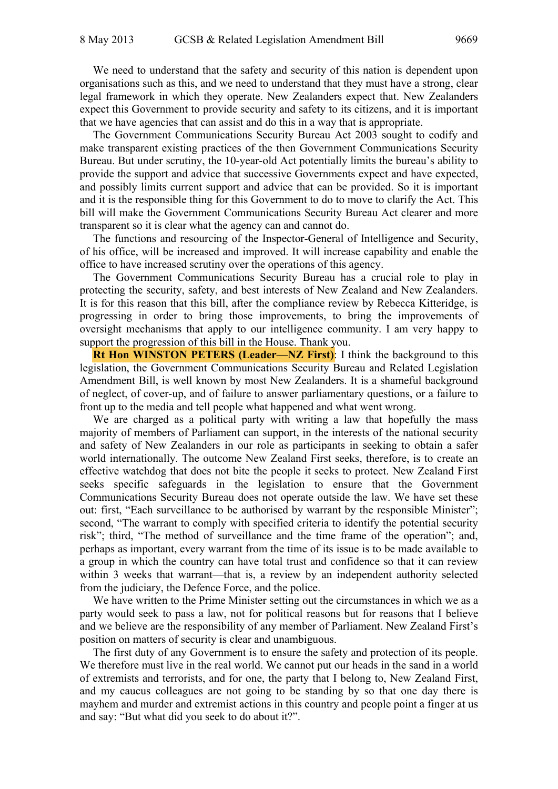We need to understand that the safety and security of this nation is dependent upon organisations such as this, and we need to understand that they must have a strong, clear legal framework in which they operate. New Zealanders expect that. New Zealanders expect this Government to provide security and safety to its citizens, and it is important that we have agencies that can assist and do this in a way that is appropriate.

The Government Communications Security Bureau Act 2003 sought to codify and make transparent existing practices of the then Government Communications Security Bureau. But under scrutiny, the 10-year-old Act potentially limits the bureau's ability to provide the support and advice that successive Governments expect and have expected, and possibly limits current support and advice that can be provided. So it is important and it is the responsible thing for this Government to do to move to clarify the Act. This bill will make the Government Communications Security Bureau Act clearer and more transparent so it is clear what the agency can and cannot do.

The functions and resourcing of the Inspector-General of Intelligence and Security, of his office, will be increased and improved. It will increase capability and enable the office to have increased scrutiny over the operations of this agency.

The Government Communications Security Bureau has a crucial role to play in protecting the security, safety, and best interests of New Zealand and New Zealanders. It is for this reason that this bill, after the compliance review by Rebecca Kitteridge, is progressing in order to bring those improvements, to bring the improvements of oversight mechanisms that apply to our intelligence community. I am very happy to support the progression of this bill in the House. Thank you.

**Rt Hon WINSTON PETERS (Leader—NZ First):** I think the background to this legislation, the Government Communications Security Bureau and Related Legislation Amendment Bill, is well known by most New Zealanders. It is a shameful background of neglect, of cover-up, and of failure to answer parliamentary questions, or a failure to front up to the media and tell people what happened and what went wrong.

We are charged as a political party with writing a law that hopefully the mass majority of members of Parliament can support, in the interests of the national security and safety of New Zealanders in our role as participants in seeking to obtain a safer world internationally. The outcome New Zealand First seeks, therefore, is to create an effective watchdog that does not bite the people it seeks to protect. New Zealand First seeks specific safeguards in the legislation to ensure that the Government Communications Security Bureau does not operate outside the law. We have set these out: first, "Each surveillance to be authorised by warrant by the responsible Minister"; second, "The warrant to comply with specified criteria to identify the potential security risk"; third, "The method of surveillance and the time frame of the operation"; and, perhaps as important, every warrant from the time of its issue is to be made available to a group in which the country can have total trust and confidence so that it can review within 3 weeks that warrant—that is, a review by an independent authority selected from the judiciary, the Defence Force, and the police.

We have written to the Prime Minister setting out the circumstances in which we as a party would seek to pass a law, not for political reasons but for reasons that I believe and we believe are the responsibility of any member of Parliament. New Zealand First's position on matters of security is clear and unambiguous.

The first duty of any Government is to ensure the safety and protection of its people. We therefore must live in the real world. We cannot put our heads in the sand in a world of extremists and terrorists, and for one, the party that I belong to, New Zealand First, and my caucus colleagues are not going to be standing by so that one day there is mayhem and murder and extremist actions in this country and people point a finger at us and say: "But what did you seek to do about it?".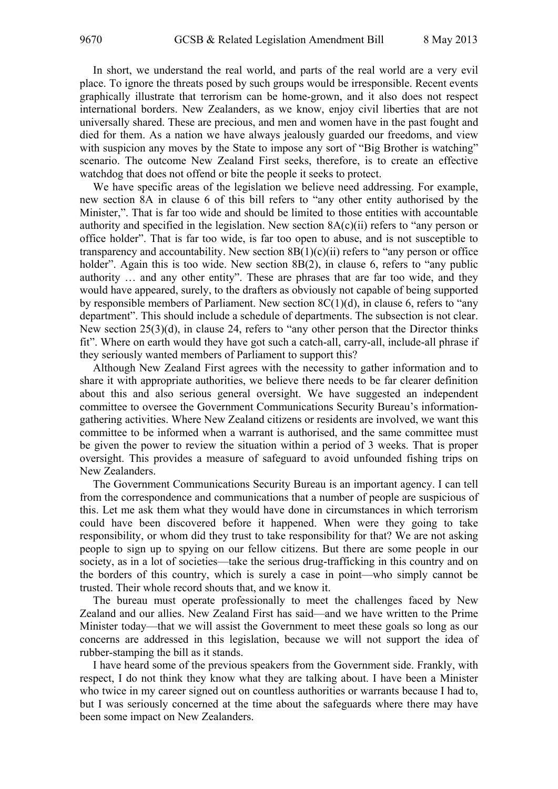In short, we understand the real world, and parts of the real world are a very evil place. To ignore the threats posed by such groups would be irresponsible. Recent events graphically illustrate that terrorism can be home-grown, and it also does not respect international borders. New Zealanders, as we know, enjoy civil liberties that are not universally shared. These are precious, and men and women have in the past fought and died for them. As a nation we have always jealously guarded our freedoms, and view with suspicion any moves by the State to impose any sort of "Big Brother is watching" scenario. The outcome New Zealand First seeks, therefore, is to create an effective watchdog that does not offend or bite the people it seeks to protect.

We have specific areas of the legislation we believe need addressing. For example, new section 8A in clause 6 of this bill refers to "any other entity authorised by the Minister,". That is far too wide and should be limited to those entities with accountable authority and specified in the legislation. New section  $8A(c)(ii)$  refers to "any person or office holder". That is far too wide, is far too open to abuse, and is not susceptible to transparency and accountability. New section  $8B(1)(c)(ii)$  refers to "any person or office holder". Again this is too wide. New section 8B(2), in clause 6, refers to "any public authority … and any other entity". These are phrases that are far too wide, and they would have appeared, surely, to the drafters as obviously not capable of being supported by responsible members of Parliament. New section  $8C(1)(d)$ , in clause 6, refers to "any department". This should include a schedule of departments. The subsection is not clear. New section 25(3)(d), in clause 24, refers to "any other person that the Director thinks fit". Where on earth would they have got such a catch-all, carry-all, include-all phrase if they seriously wanted members of Parliament to support this?

Although New Zealand First agrees with the necessity to gather information and to share it with appropriate authorities, we believe there needs to be far clearer definition about this and also serious general oversight. We have suggested an independent committee to oversee the Government Communications Security Bureau's informationgathering activities. Where New Zealand citizens or residents are involved, we want this committee to be informed when a warrant is authorised, and the same committee must be given the power to review the situation within a period of 3 weeks. That is proper oversight. This provides a measure of safeguard to avoid unfounded fishing trips on New Zealanders.

The Government Communications Security Bureau is an important agency. I can tell from the correspondence and communications that a number of people are suspicious of this. Let me ask them what they would have done in circumstances in which terrorism could have been discovered before it happened. When were they going to take responsibility, or whom did they trust to take responsibility for that? We are not asking people to sign up to spying on our fellow citizens. But there are some people in our society, as in a lot of societies—take the serious drug-trafficking in this country and on the borders of this country, which is surely a case in point—who simply cannot be trusted. Their whole record shouts that, and we know it.

The bureau must operate professionally to meet the challenges faced by New Zealand and our allies. New Zealand First has said—and we have written to the Prime Minister today—that we will assist the Government to meet these goals so long as our concerns are addressed in this legislation, because we will not support the idea of rubber-stamping the bill as it stands.

I have heard some of the previous speakers from the Government side. Frankly, with respect, I do not think they know what they are talking about. I have been a Minister who twice in my career signed out on countless authorities or warrants because I had to, but I was seriously concerned at the time about the safeguards where there may have been some impact on New Zealanders.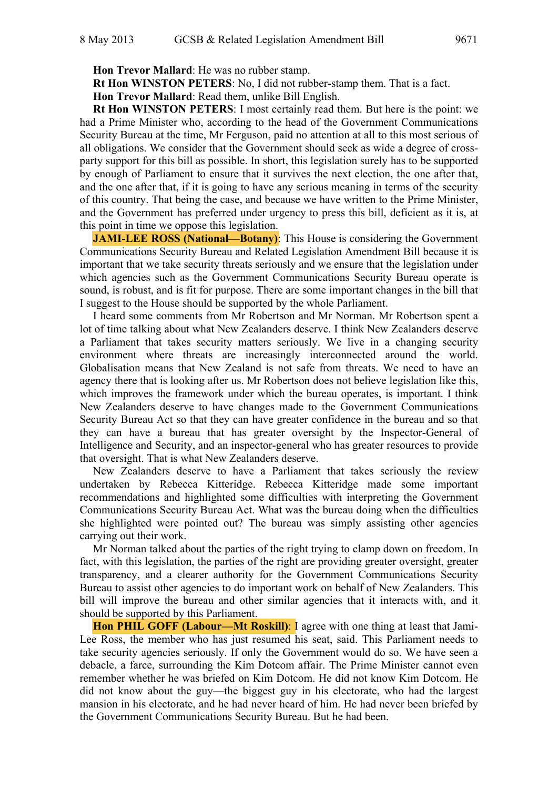**Hon Trevor Mallard**: He was no rubber stamp.

**Rt Hon WINSTON PETERS**: No, I did not rubber-stamp them. That is a fact.

**Hon Trevor Mallard**: Read them, unlike Bill English.

**Rt Hon WINSTON PETERS**: I most certainly read them. But here is the point: we had a Prime Minister who, according to the head of the Government Communications Security Bureau at the time, Mr Ferguson, paid no attention at all to this most serious of all obligations. We consider that the Government should seek as wide a degree of crossparty support for this bill as possible. In short, this legislation surely has to be supported by enough of Parliament to ensure that it survives the next election, the one after that, and the one after that, if it is going to have any serious meaning in terms of the security of this country. That being the case, and because we have written to the Prime Minister, and the Government has preferred under urgency to press this bill, deficient as it is, at this point in time we oppose this legislation.

**JAMI-LEE ROSS (National—Botany)**: This House is considering the Government Communications Security Bureau and Related Legislation Amendment Bill because it is important that we take security threats seriously and we ensure that the legislation under which agencies such as the Government Communications Security Bureau operate is sound, is robust, and is fit for purpose. There are some important changes in the bill that I suggest to the House should be supported by the whole Parliament.

I heard some comments from Mr Robertson and Mr Norman. Mr Robertson spent a lot of time talking about what New Zealanders deserve. I think New Zealanders deserve a Parliament that takes security matters seriously. We live in a changing security environment where threats are increasingly interconnected around the world. Globalisation means that New Zealand is not safe from threats. We need to have an agency there that is looking after us. Mr Robertson does not believe legislation like this, which improves the framework under which the bureau operates, is important. I think New Zealanders deserve to have changes made to the Government Communications Security Bureau Act so that they can have greater confidence in the bureau and so that they can have a bureau that has greater oversight by the Inspector-General of Intelligence and Security, and an inspector-general who has greater resources to provide that oversight. That is what New Zealanders deserve.

New Zealanders deserve to have a Parliament that takes seriously the review undertaken by Rebecca Kitteridge. Rebecca Kitteridge made some important recommendations and highlighted some difficulties with interpreting the Government Communications Security Bureau Act. What was the bureau doing when the difficulties she highlighted were pointed out? The bureau was simply assisting other agencies carrying out their work.

Mr Norman talked about the parties of the right trying to clamp down on freedom. In fact, with this legislation, the parties of the right are providing greater oversight, greater transparency, and a clearer authority for the Government Communications Security Bureau to assist other agencies to do important work on behalf of New Zealanders. This bill will improve the bureau and other similar agencies that it interacts with, and it should be supported by this Parliament.

**Hon PHIL GOFF (Labour—Mt Roskill)**: I agree with one thing at least that Jami-Lee Ross, the member who has just resumed his seat, said. This Parliament needs to take security agencies seriously. If only the Government would do so. We have seen a debacle, a farce, surrounding the Kim Dotcom affair. The Prime Minister cannot even remember whether he was briefed on Kim Dotcom. He did not know Kim Dotcom. He did not know about the guy—the biggest guy in his electorate, who had the largest mansion in his electorate, and he had never heard of him. He had never been briefed by the Government Communications Security Bureau. But he had been.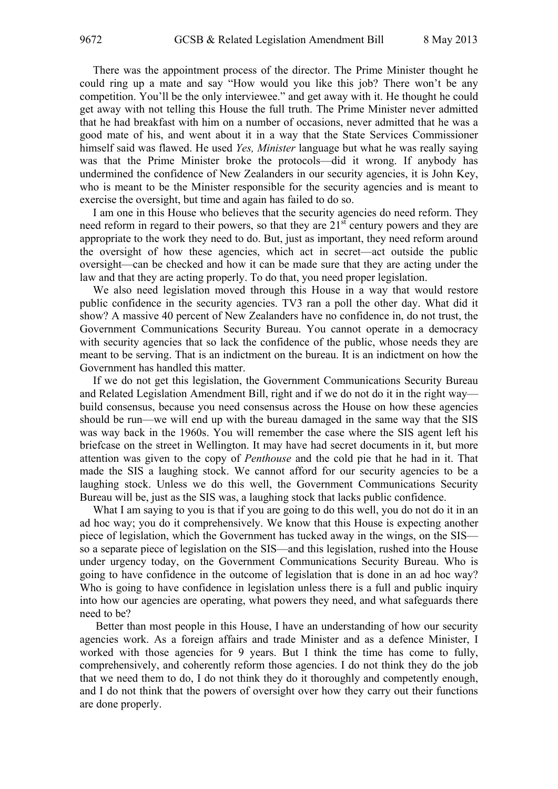There was the appointment process of the director. The Prime Minister thought he could ring up a mate and say "How would you like this job? There won't be any competition. You'll be the only interviewee." and get away with it. He thought he could get away with not telling this House the full truth. The Prime Minister never admitted that he had breakfast with him on a number of occasions, never admitted that he was a good mate of his, and went about it in a way that the State Services Commissioner himself said was flawed. He used *Yes, Minister* language but what he was really saying was that the Prime Minister broke the protocols—did it wrong. If anybody has undermined the confidence of New Zealanders in our security agencies, it is John Key, who is meant to be the Minister responsible for the security agencies and is meant to exercise the oversight, but time and again has failed to do so.

I am one in this House who believes that the security agencies do need reform. They need reform in regard to their powers, so that they are  $21<sup>st</sup>$  century powers and they are appropriate to the work they need to do. But, just as important, they need reform around the oversight of how these agencies, which act in secret—act outside the public oversight—can be checked and how it can be made sure that they are acting under the law and that they are acting properly. To do that, you need proper legislation.

We also need legislation moved through this House in a way that would restore public confidence in the security agencies. TV3 ran a poll the other day. What did it show? A massive 40 percent of New Zealanders have no confidence in, do not trust, the Government Communications Security Bureau. You cannot operate in a democracy with security agencies that so lack the confidence of the public, whose needs they are meant to be serving. That is an indictment on the bureau. It is an indictment on how the Government has handled this matter.

If we do not get this legislation, the Government Communications Security Bureau and Related Legislation Amendment Bill, right and if we do not do it in the right way build consensus, because you need consensus across the House on how these agencies should be run—we will end up with the bureau damaged in the same way that the SIS was way back in the 1960s. You will remember the case where the SIS agent left his briefcase on the street in Wellington. It may have had secret documents in it, but more attention was given to the copy of *Penthouse* and the cold pie that he had in it. That made the SIS a laughing stock. We cannot afford for our security agencies to be a laughing stock. Unless we do this well, the Government Communications Security Bureau will be, just as the SIS was, a laughing stock that lacks public confidence.

What I am saying to you is that if you are going to do this well, you do not do it in an ad hoc way; you do it comprehensively. We know that this House is expecting another piece of legislation, which the Government has tucked away in the wings, on the SIS so a separate piece of legislation on the SIS—and this legislation, rushed into the House under urgency today, on the Government Communications Security Bureau. Who is going to have confidence in the outcome of legislation that is done in an ad hoc way? Who is going to have confidence in legislation unless there is a full and public inquiry into how our agencies are operating, what powers they need, and what safeguards there need to be?

 Better than most people in this House, I have an understanding of how our security agencies work. As a foreign affairs and trade Minister and as a defence Minister, I worked with those agencies for 9 years. But I think the time has come to fully, comprehensively, and coherently reform those agencies. I do not think they do the job that we need them to do, I do not think they do it thoroughly and competently enough, and I do not think that the powers of oversight over how they carry out their functions are done properly.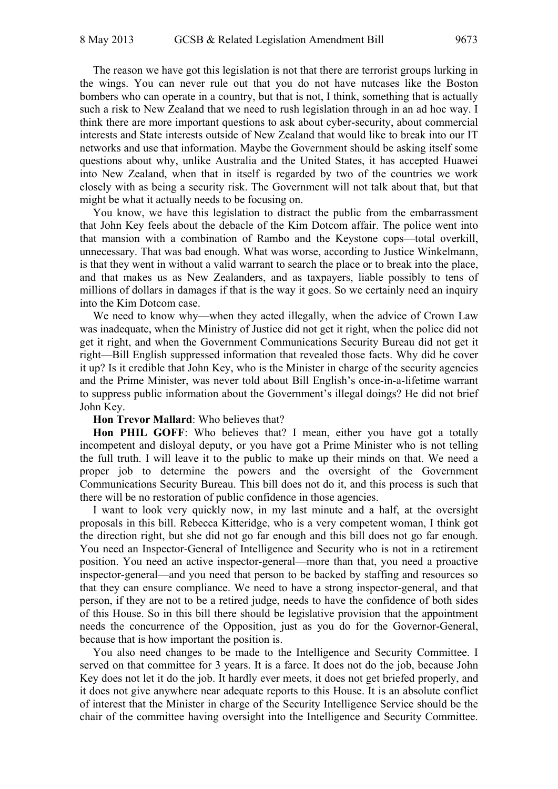The reason we have got this legislation is not that there are terrorist groups lurking in the wings. You can never rule out that you do not have nutcases like the Boston bombers who can operate in a country, but that is not, I think, something that is actually such a risk to New Zealand that we need to rush legislation through in an ad hoc way. I think there are more important questions to ask about cyber-security, about commercial interests and State interests outside of New Zealand that would like to break into our IT networks and use that information. Maybe the Government should be asking itself some questions about why, unlike Australia and the United States, it has accepted Huawei into New Zealand, when that in itself is regarded by two of the countries we work closely with as being a security risk. The Government will not talk about that, but that might be what it actually needs to be focusing on.

You know, we have this legislation to distract the public from the embarrassment that John Key feels about the debacle of the Kim Dotcom affair. The police went into that mansion with a combination of Rambo and the Keystone cops—total overkill, unnecessary. That was bad enough. What was worse, according to Justice Winkelmann, is that they went in without a valid warrant to search the place or to break into the place, and that makes us as New Zealanders, and as taxpayers, liable possibly to tens of millions of dollars in damages if that is the way it goes. So we certainly need an inquiry into the Kim Dotcom case.

We need to know why—when they acted illegally, when the advice of Crown Law was inadequate, when the Ministry of Justice did not get it right, when the police did not get it right, and when the Government Communications Security Bureau did not get it right—Bill English suppressed information that revealed those facts. Why did he cover it up? Is it credible that John Key, who is the Minister in charge of the security agencies and the Prime Minister, was never told about Bill English's once-in-a-lifetime warrant to suppress public information about the Government's illegal doings? He did not brief John Key.

### **Hon Trevor Mallard**: Who believes that?

**Hon PHIL GOFF**: Who believes that? I mean, either you have got a totally incompetent and disloyal deputy, or you have got a Prime Minister who is not telling the full truth. I will leave it to the public to make up their minds on that. We need a proper job to determine the powers and the oversight of the Government Communications Security Bureau. This bill does not do it, and this process is such that there will be no restoration of public confidence in those agencies.

I want to look very quickly now, in my last minute and a half, at the oversight proposals in this bill. Rebecca Kitteridge, who is a very competent woman, I think got the direction right, but she did not go far enough and this bill does not go far enough. You need an Inspector-General of Intelligence and Security who is not in a retirement position. You need an active inspector-general—more than that, you need a proactive inspector-general—and you need that person to be backed by staffing and resources so that they can ensure compliance. We need to have a strong inspector-general, and that person, if they are not to be a retired judge, needs to have the confidence of both sides of this House. So in this bill there should be legislative provision that the appointment needs the concurrence of the Opposition, just as you do for the Governor-General, because that is how important the position is.

You also need changes to be made to the Intelligence and Security Committee. I served on that committee for 3 years. It is a farce. It does not do the job, because John Key does not let it do the job. It hardly ever meets, it does not get briefed properly, and it does not give anywhere near adequate reports to this House. It is an absolute conflict of interest that the Minister in charge of the Security Intelligence Service should be the chair of the committee having oversight into the Intelligence and Security Committee.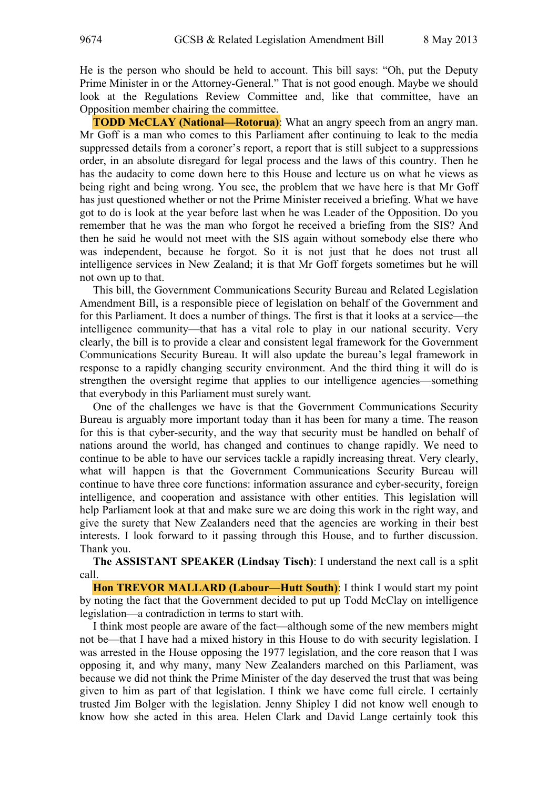He is the person who should be held to account. This bill says: "Oh, put the Deputy Prime Minister in or the Attorney-General." That is not good enough. Maybe we should look at the Regulations Review Committee and, like that committee, have an Opposition member chairing the committee.

**TODD McCLAY (National—Rotorua)**: What an angry speech from an angry man. Mr Goff is a man who comes to this Parliament after continuing to leak to the media suppressed details from a coroner's report, a report that is still subject to a suppressions order, in an absolute disregard for legal process and the laws of this country. Then he has the audacity to come down here to this House and lecture us on what he views as being right and being wrong. You see, the problem that we have here is that Mr Goff has just questioned whether or not the Prime Minister received a briefing. What we have got to do is look at the year before last when he was Leader of the Opposition. Do you remember that he was the man who forgot he received a briefing from the SIS? And then he said he would not meet with the SIS again without somebody else there who was independent, because he forgot. So it is not just that he does not trust all intelligence services in New Zealand; it is that Mr Goff forgets sometimes but he will not own up to that.

This bill, the Government Communications Security Bureau and Related Legislation Amendment Bill, is a responsible piece of legislation on behalf of the Government and for this Parliament. It does a number of things. The first is that it looks at a service—the intelligence community—that has a vital role to play in our national security. Very clearly, the bill is to provide a clear and consistent legal framework for the Government Communications Security Bureau. It will also update the bureau's legal framework in response to a rapidly changing security environment. And the third thing it will do is strengthen the oversight regime that applies to our intelligence agencies—something that everybody in this Parliament must surely want.

One of the challenges we have is that the Government Communications Security Bureau is arguably more important today than it has been for many a time. The reason for this is that cyber-security, and the way that security must be handled on behalf of nations around the world, has changed and continues to change rapidly. We need to continue to be able to have our services tackle a rapidly increasing threat. Very clearly, what will happen is that the Government Communications Security Bureau will continue to have three core functions: information assurance and cyber-security, foreign intelligence, and cooperation and assistance with other entities. This legislation will help Parliament look at that and make sure we are doing this work in the right way, and give the surety that New Zealanders need that the agencies are working in their best interests. I look forward to it passing through this House, and to further discussion. Thank you.

**The ASSISTANT SPEAKER (Lindsay Tisch)**: I understand the next call is a split call.

**Hon TREVOR MALLARD (Labour—Hutt South)**: I think I would start my point by noting the fact that the Government decided to put up Todd McClay on intelligence legislation—a contradiction in terms to start with.

I think most people are aware of the fact—although some of the new members might not be—that I have had a mixed history in this House to do with security legislation. I was arrested in the House opposing the 1977 legislation, and the core reason that I was opposing it, and why many, many New Zealanders marched on this Parliament, was because we did not think the Prime Minister of the day deserved the trust that was being given to him as part of that legislation. I think we have come full circle. I certainly trusted Jim Bolger with the legislation. Jenny Shipley I did not know well enough to know how she acted in this area. Helen Clark and David Lange certainly took this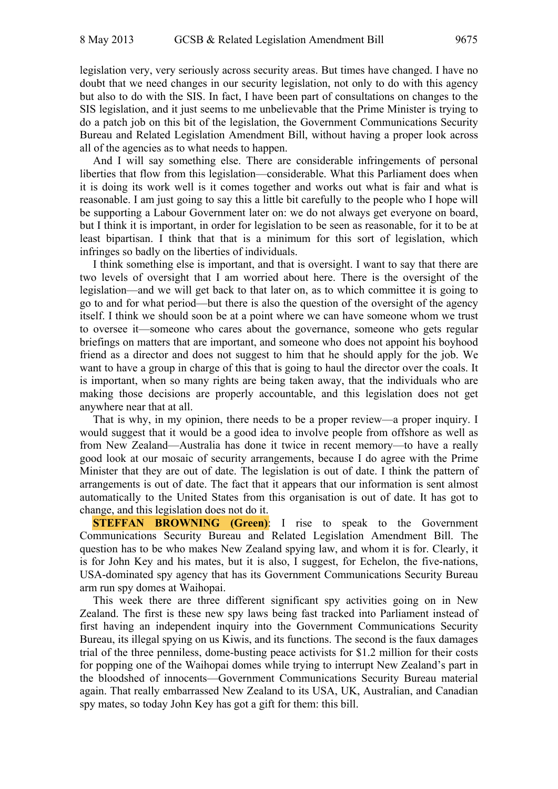legislation very, very seriously across security areas. But times have changed. I have no doubt that we need changes in our security legislation, not only to do with this agency but also to do with the SIS. In fact, I have been part of consultations on changes to the SIS legislation, and it just seems to me unbelievable that the Prime Minister is trying to do a patch job on this bit of the legislation, the Government Communications Security Bureau and Related Legislation Amendment Bill, without having a proper look across all of the agencies as to what needs to happen.

And I will say something else. There are considerable infringements of personal liberties that flow from this legislation—considerable. What this Parliament does when it is doing its work well is it comes together and works out what is fair and what is reasonable. I am just going to say this a little bit carefully to the people who I hope will be supporting a Labour Government later on: we do not always get everyone on board, but I think it is important, in order for legislation to be seen as reasonable, for it to be at least bipartisan. I think that that is a minimum for this sort of legislation, which infringes so badly on the liberties of individuals.

I think something else is important, and that is oversight. I want to say that there are two levels of oversight that I am worried about here. There is the oversight of the legislation—and we will get back to that later on, as to which committee it is going to go to and for what period—but there is also the question of the oversight of the agency itself. I think we should soon be at a point where we can have someone whom we trust to oversee it—someone who cares about the governance, someone who gets regular briefings on matters that are important, and someone who does not appoint his boyhood friend as a director and does not suggest to him that he should apply for the job. We want to have a group in charge of this that is going to haul the director over the coals. It is important, when so many rights are being taken away, that the individuals who are making those decisions are properly accountable, and this legislation does not get anywhere near that at all.

That is why, in my opinion, there needs to be a proper review—a proper inquiry. I would suggest that it would be a good idea to involve people from offshore as well as from New Zealand—Australia has done it twice in recent memory—to have a really good look at our mosaic of security arrangements, because I do agree with the Prime Minister that they are out of date. The legislation is out of date. I think the pattern of arrangements is out of date. The fact that it appears that our information is sent almost automatically to the United States from this organisation is out of date. It has got to change, and this legislation does not do it.

**STEFFAN BROWNING (Green)**: I rise to speak to the Government Communications Security Bureau and Related Legislation Amendment Bill. The question has to be who makes New Zealand spying law, and whom it is for. Clearly, it is for John Key and his mates, but it is also, I suggest, for Echelon, the five-nations, USA-dominated spy agency that has its Government Communications Security Bureau arm run spy domes at Waihopai.

This week there are three different significant spy activities going on in New Zealand. The first is these new spy laws being fast tracked into Parliament instead of first having an independent inquiry into the Government Communications Security Bureau, its illegal spying on us Kiwis, and its functions. The second is the faux damages trial of the three penniless, dome-busting peace activists for \$1.2 million for their costs for popping one of the Waihopai domes while trying to interrupt New Zealand's part in the bloodshed of innocents—Government Communications Security Bureau material again. That really embarrassed New Zealand to its USA, UK, Australian, and Canadian spy mates, so today John Key has got a gift for them: this bill.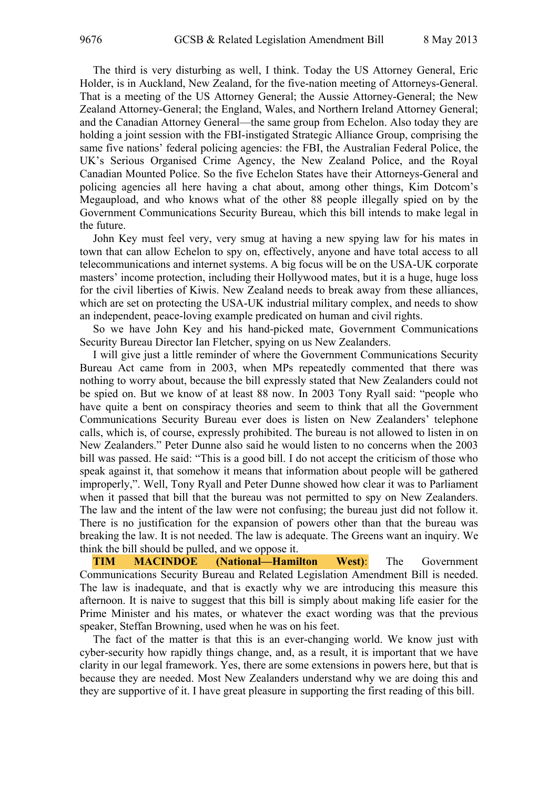The third is very disturbing as well, I think. Today the US Attorney General, Eric Holder, is in Auckland, New Zealand, for the five-nation meeting of Attorneys-General. That is a meeting of the US Attorney General; the Aussie Attorney-General; the New Zealand Attorney-General; the England, Wales, and Northern Ireland Attorney General; and the Canadian Attorney General—the same group from Echelon. Also today they are holding a joint session with the FBI-instigated Strategic Alliance Group, comprising the same five nations' federal policing agencies: the FBI, the Australian Federal Police, the UK's Serious Organised Crime Agency, the New Zealand Police, and the Royal Canadian Mounted Police. So the five Echelon States have their Attorneys-General and policing agencies all here having a chat about, among other things, Kim Dotcom's Megaupload, and who knows what of the other 88 people illegally spied on by the Government Communications Security Bureau, which this bill intends to make legal in the future.

John Key must feel very, very smug at having a new spying law for his mates in town that can allow Echelon to spy on, effectively, anyone and have total access to all telecommunications and internet systems. A big focus will be on the USA-UK corporate masters' income protection, including their Hollywood mates, but it is a huge, huge loss for the civil liberties of Kiwis. New Zealand needs to break away from these alliances, which are set on protecting the USA-UK industrial military complex, and needs to show an independent, peace-loving example predicated on human and civil rights.

So we have John Key and his hand-picked mate, Government Communications Security Bureau Director Ian Fletcher, spying on us New Zealanders.

I will give just a little reminder of where the Government Communications Security Bureau Act came from in 2003, when MPs repeatedly commented that there was nothing to worry about, because the bill expressly stated that New Zealanders could not be spied on. But we know of at least 88 now. In 2003 Tony Ryall said: "people who have quite a bent on conspiracy theories and seem to think that all the Government Communications Security Bureau ever does is listen on New Zealanders' telephone calls, which is, of course, expressly prohibited. The bureau is not allowed to listen in on New Zealanders." Peter Dunne also said he would listen to no concerns when the 2003 bill was passed. He said: "This is a good bill. I do not accept the criticism of those who speak against it, that somehow it means that information about people will be gathered improperly,". Well, Tony Ryall and Peter Dunne showed how clear it was to Parliament when it passed that bill that the bureau was not permitted to spy on New Zealanders. The law and the intent of the law were not confusing; the bureau just did not follow it. There is no justification for the expansion of powers other than that the bureau was breaking the law. It is not needed. The law is adequate. The Greens want an inquiry. We think the bill should be pulled, and we oppose it.

**TIM MACINDOE (National—Hamilton West)**: The Government Communications Security Bureau and Related Legislation Amendment Bill is needed. The law is inadequate, and that is exactly why we are introducing this measure this afternoon. It is naive to suggest that this bill is simply about making life easier for the Prime Minister and his mates, or whatever the exact wording was that the previous speaker, Steffan Browning, used when he was on his feet.

The fact of the matter is that this is an ever-changing world. We know just with cyber-security how rapidly things change, and, as a result, it is important that we have clarity in our legal framework. Yes, there are some extensions in powers here, but that is because they are needed. Most New Zealanders understand why we are doing this and they are supportive of it. I have great pleasure in supporting the first reading of this bill.